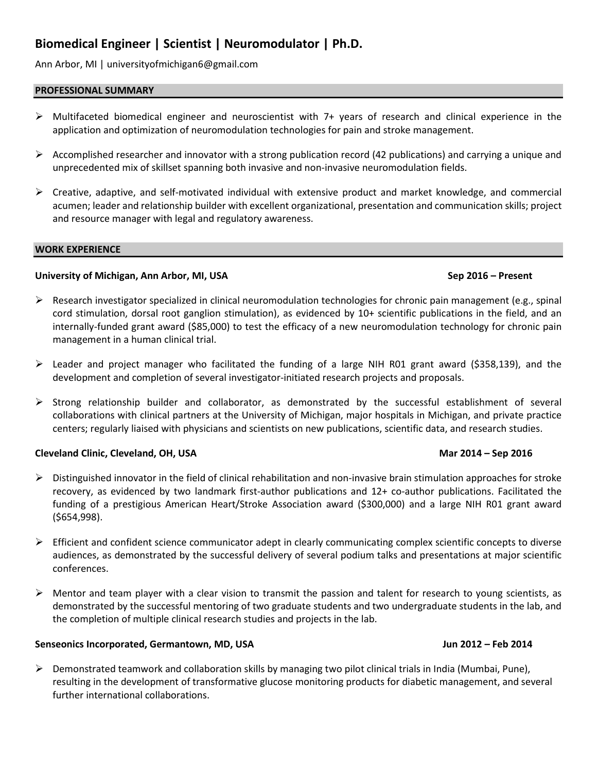# **Biomedical Engineer | Scientist | Neuromodulator | Ph.D.**

Ann Arbor, MI | universityofmichigan6@gmail.com

# **PROFESSIONAL SUMMARY**

- ➢ Multifaceted biomedical engineer and neuroscientist with 7+ years of research and clinical experience in the application and optimization of neuromodulation technologies for pain and stroke management.
- $\triangleright$  Accomplished researcher and innovator with a strong publication record (42 publications) and carrying a unique and unprecedented mix of skillset spanning both invasive and non-invasive neuromodulation fields.
- ➢ Creative, adaptive, and self-motivated individual with extensive product and market knowledge, and commercial acumen; leader and relationship builder with excellent organizational, presentation and communication skills; project and resource manager with legal and regulatory awareness.

### **WORK EXPERIENCE**

# **University of Michigan, Ann Arbor, MI, USA Sep 2016 – Present**

# $\triangleright$  Research investigator specialized in clinical neuromodulation technologies for chronic pain management (e.g., spinal cord stimulation, dorsal root ganglion stimulation), as evidenced by 10+ scientific publications in the field, and an internally-funded grant award (\$85,000) to test the efficacy of a new neuromodulation technology for chronic pain management in a human clinical trial.

- $\triangleright$  Leader and project manager who facilitated the funding of a large NIH R01 grant award (\$358,139), and the development and completion of several investigator-initiated research projects and proposals.
- ➢ Strong relationship builder and collaborator, as demonstrated by the successful establishment of several collaborations with clinical partners at the University of Michigan, major hospitals in Michigan, and private practice centers; regularly liaised with physicians and scientists on new publications, scientific data, and research studies.

# **Cleveland Clinic, Cleveland, OH, USA Mar 2014 – Sep 2016**

- $\triangleright$  Distinguished innovator in the field of clinical rehabilitation and non-invasive brain stimulation approaches for stroke recovery, as evidenced by two landmark first-author publications and 12+ co-author publications. Facilitated the funding of a prestigious American Heart/Stroke Association award (\$300,000) and a large NIH R01 grant award (\$654,998).
- $\triangleright$  Efficient and confident science communicator adept in clearly communicating complex scientific concepts to diverse audiences, as demonstrated by the successful delivery of several podium talks and presentations at major scientific conferences.
- $\triangleright$  Mentor and team player with a clear vision to transmit the passion and talent for research to young scientists, as demonstrated by the successful mentoring of two graduate students and two undergraduate students in the lab, and the completion of multiple clinical research studies and projects in the lab.

# **Senseonics Incorporated, Germantown, MD, USA Jun 2012 – Feb 2014**

➢ Demonstrated teamwork and collaboration skills by managing two pilot clinical trials in India (Mumbai, Pune), resulting in the development of transformative glucose monitoring products for diabetic management, and several further international collaborations.